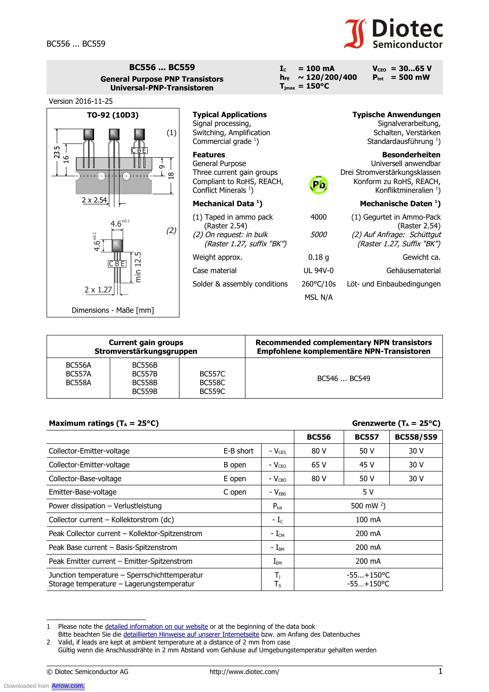## **Diotec**

| <b>BC556  BC559</b><br><b>General Purpose PNP Transistors</b><br>Universal-PNP-Transistoren |                                                                                                                                  | $= 100 \text{ mA}$<br>$\mathbf{I}$ <sub>c</sub><br>$\sim 120/200/400$<br>$h_{FF}$<br>$T_{\text{jmax}} = 150^{\circ}C$ | $V_{ceo}$ = 3065 V<br>$P_{\text{tot}} = 500$ mW                                                                                                |
|---------------------------------------------------------------------------------------------|----------------------------------------------------------------------------------------------------------------------------------|-----------------------------------------------------------------------------------------------------------------------|------------------------------------------------------------------------------------------------------------------------------------------------|
| Version 2016-11-25                                                                          |                                                                                                                                  |                                                                                                                       |                                                                                                                                                |
| TO-92 (10D3)<br>(1)<br>23.5<br>CBE<br>$\frac{6}{1}$<br>თ<br>${}^{\circ}$<br>$\bigcirc$      | <b>Typical Applications</b><br>Signal processing,<br>Switching, Amplification<br>Commercial grade $1$ )                          |                                                                                                                       | <b>Typische Anwendungen</b><br>Signalverarbeitung,<br>Schalten, Verstärken<br>Standardausführung <sup>1</sup> )                                |
|                                                                                             | <b>Features</b><br>General Purpose<br>Three current gain groups<br>Compliant to RoHS, REACH,<br>Conflict Minerals <sup>1</sup> ) | Pb,                                                                                                                   | <b>Besonderheiten</b><br>Universell anwendbar<br>Drei Stromverstärkungsklassen<br>Konform zu RoHS, REACH,<br>Konfliktmineralien <sup>1</sup> ) |
| $2 \times 2.54$                                                                             | Mechanical Data <sup>1</sup> )                                                                                                   |                                                                                                                       | Mechanische Daten <sup>1</sup> )                                                                                                               |
| $4.6^{+0.1}$<br>(2)<br>$4.6^{+0.1}$                                                         | (1) Taped in ammo pack<br>(Raster 2.54)<br>(2) On request: in bulk<br>(Raster 1.27, suffix "BK")                                 | 4000<br><i>5000</i>                                                                                                   | (1) Gegurtet in Ammo-Pack<br>(Raster 2.54)<br>(2) Auf Anfrage: Schüttgut<br>(Raster 1.27, Suffix "BK")                                         |
| 12<br>$C$ BE<br>$2 \times 1.27$                                                             | Weight approx.                                                                                                                   | 0.18 <sub>g</sub>                                                                                                     | Gewicht ca.                                                                                                                                    |
|                                                                                             | Case material                                                                                                                    | <b>UL 94V-0</b>                                                                                                       | Gehäusematerial                                                                                                                                |
|                                                                                             | Solder & assembly conditions                                                                                                     | 260°C/10s<br>MSL N/A                                                                                                  | Löt- und Einbaubedingungen                                                                                                                     |
| Dimensions - Maße [mm]                                                                      |                                                                                                                                  |                                                                                                                       |                                                                                                                                                |

| <b>Current gain groups</b><br>Stromverstärkungsgruppen |                                                                  |                                                 | Recommended complementary NPN transistors<br>Empfohlene komplementäre NPN-Transistoren |  |
|--------------------------------------------------------|------------------------------------------------------------------|-------------------------------------------------|----------------------------------------------------------------------------------------|--|
| <b>BC556A</b><br><b>BC557A</b><br><b>BC558A</b>        | <b>BC556B</b><br><b>BC557B</b><br><b>BC558B</b><br><b>BC559B</b> | <b>BC557C</b><br><b>BC558C</b><br><b>BC559C</b> | BC546  BC549                                                                           |  |

## **Maximum ratings (T<sub>A</sub>** = 25°C) **Greenzwerte (T<sub>A</sub>** = 25°C)

| - - - - -                                                                                  |           |                                    |              |                              |           |
|--------------------------------------------------------------------------------------------|-----------|------------------------------------|--------------|------------------------------|-----------|
|                                                                                            |           |                                    | <b>BC556</b> | <b>BC557</b>                 | BC558/559 |
| Collector-Emitter-voltage                                                                  | E-B short | $-V_{CES}$                         | 80 V         | 50 V                         | 30 V      |
| Collector-Emitter-voltage                                                                  | B open    | - $V_{\text{CEO}}$                 | 65 V         | 45 V                         | 30 V      |
| Collector-Base-voltage                                                                     | E open    | $-V_{CBO}$                         | 80 V         | 50 V                         | 30 V      |
| Emitter-Base-voltage                                                                       | C open    | $-V_{EB0}$                         | 5 V          |                              |           |
| Power dissipation - Verlustleistung                                                        |           | $P_{\text{tot}}$                   |              | 500 mW $^{2}$ )              |           |
| Collector current – Kollektorstrom (dc)                                                    |           | $-Lc$                              |              | 100 mA                       |           |
| Peak Collector current - Kollektor-Spitzenstrom                                            |           | $-L_{CM}$                          |              | 200 mA                       |           |
| Peak Base current - Basis-Spitzenstrom                                                     |           | $- I_{BM}$                         |              | 200 mA                       |           |
| Peak Emitter current - Emitter-Spitzenstrom                                                |           | $\mathrm{I}_{\mathsf{EM}}$         |              | 200 mA                       |           |
| Junction temperature - Sperrschichttemperatur<br>Storage temperature - Lagerungstemperatur |           | $\mathsf{T}_{\mathtt{j}}$<br>$T_S$ |              | $-55+150$ °C<br>$-55+150$ °C |           |

<sup>1</sup> Please note the detailed information on our website or at the beginning of the data book

Bitte beachten Sie die detaillierten Hinweise auf unserer Internetseite bzw. am Anfang des Datenbuches

Downloaded from **[Arrow.com.](http://www.arrow.com)** 

<sup>2</sup> Valid, if leads are kept at ambient temperature at a distance of 2 mm from case